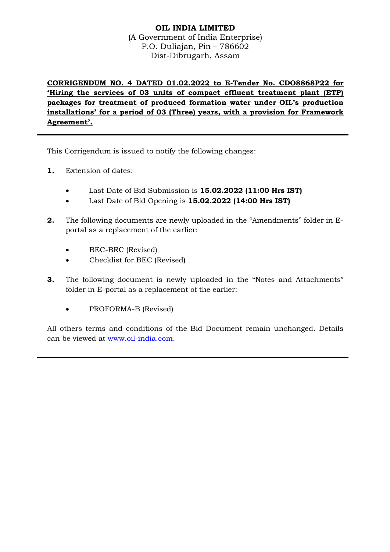# **OIL INDIA LIMITED** (A Government of India Enterprise) P.O. Duliajan, Pin – 786602 Dist-Dibrugarh, Assam

**CORRIGENDUM NO. 4 DATED 01.02.2022 to E-Tender No. CDO8868P22 for 'Hiring the services of 03 units of compact effluent treatment plant (ETP) packages for treatment of produced formation water under OIL's production installations' for a period of 03 (Three) years, with a provision for Framework Agreement'.**

This Corrigendum is issued to notify the following changes:

- **1.** Extension of dates:
	- Last Date of Bid Submission is **15.02.2022 (11:00 Hrs IST)**
	- Last Date of Bid Opening is **15.02.2022 (14:00 Hrs IST)**
- **2.** The following documents are newly uploaded in the "Amendments" folder in Eportal as a replacement of the earlier:
	- BEC-BRC (Revised)
	- Checklist for BEC (Revised)
- **3.** The following document is newly uploaded in the "Notes and Attachments" folder in E-portal as a replacement of the earlier:
	- PROFORMA-B (Revised)

All others terms and conditions of the Bid Document remain unchanged. Details can be viewed at [www.oil-india.com.](http://www.oil-india.com/)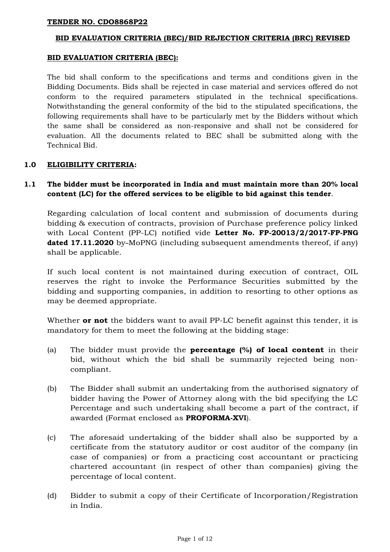#### **BID EVALUATION CRITERIA (BEC)/BID REJECTION CRITERIA (BRC) REVISED**

#### **BID EVALUATION CRITERIA (BEC):**

The bid shall conform to the specifications and terms and conditions given in the Bidding Documents. Bids shall be rejected in case material and services offered do not conform to the required parameters stipulated in the technical specifications. Notwithstanding the general conformity of the bid to the stipulated specifications, the following requirements shall have to be particularly met by the Bidders without which the same shall be considered as non-responsive and shall not be considered for evaluation. All the documents related to BEC shall be submitted along with the Technical Bid.

## **1.0 ELIGIBILITY CRITERIA:**

# **1.1 The bidder must be incorporated in India and must maintain more than 20% local content (LC) for the offered services to be eligible to bid against this tender**.

Regarding calculation of local content and submission of documents during bidding & execution of contracts, provision of Purchase preference policy linked with Local Content (PP-LC) notified vide **Letter No. FP-20013/2/2017-FP-PNG dated 17.11.2020** by-MoPNG (including subsequent amendments thereof, if any) shall be applicable.

If such local content is not maintained during execution of contract, OIL reserves the right to invoke the Performance Securities submitted by the bidding and supporting companies, in addition to resorting to other options as may be deemed appropriate.

Whether **or not** the bidders want to avail PP-LC benefit against this tender, it is mandatory for them to meet the following at the bidding stage:

- (a) The bidder must provide the **percentage (%) of local content** in their bid, without which the bid shall be summarily rejected being noncompliant.
- (b) The Bidder shall submit an undertaking from the authorised signatory of bidder having the Power of Attorney along with the bid specifying the LC Percentage and such undertaking shall become a part of the contract, if awarded (Format enclosed as **PROFORMA-XVI**).
- (c) The aforesaid undertaking of the bidder shall also be supported by a certificate from the statutory auditor or cost auditor of the company (in case of companies) or from a practicing cost accountant or practicing chartered accountant (in respect of other than companies) giving the percentage of local content.
- (d) Bidder to submit a copy of their Certificate of Incorporation/Registration in India.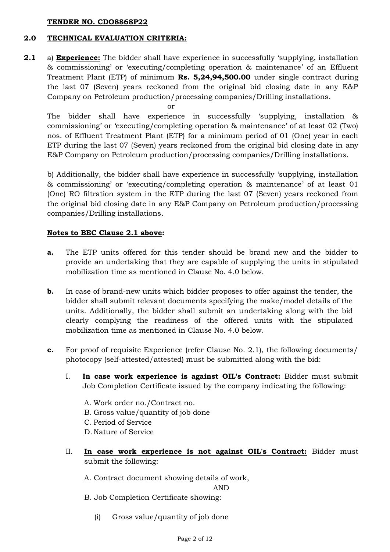## **2.0 TECHNICAL EVALUATION CRITERIA:**

**2.1** a) **Experience:** The bidder shall have experience in successfully 'supplying, installation & commissioning' or 'executing/completing operation & maintenance' of an Effluent Treatment Plant (ETP) of minimum **Rs. 5,24,94,500.00** under single contract during the last 07 (Seven) years reckoned from the original bid closing date in any E&P Company on Petroleum production/processing companies/Drilling installations.

or

The bidder shall have experience in successfully 'supplying, installation & commissioning' or 'executing/completing operation & maintenance' of at least 02 (Two) nos. of Effluent Treatment Plant (ETP) for a minimum period of 01 (One) year in each ETP during the last 07 (Seven) years reckoned from the original bid closing date in any E&P Company on Petroleum production/processing companies/Drilling installations.

b) Additionally, the bidder shall have experience in successfully 'supplying, installation & commissioning' or 'executing/completing operation & maintenance' of at least 01 (One) RO filtration system in the ETP during the last 07 (Seven) years reckoned from the original bid closing date in any E&P Company on Petroleum production/processing companies/Drilling installations.

## **Notes to BEC Clause 2.1 above:**

- **a.** The ETP units offered for this tender should be brand new and the bidder to provide an undertaking that they are capable of supplying the units in stipulated mobilization time as mentioned in Clause No. 4.0 below.
- **b.** In case of brand-new units which bidder proposes to offer against the tender, the bidder shall submit relevant documents specifying the make/model details of the units. Additionally, the bidder shall submit an undertaking along with the bid clearly complying the readiness of the offered units with the stipulated mobilization time as mentioned in Clause No. 4.0 below.
- **c.** For proof of requisite Experience (refer Clause No. 2.1), the following documents/ photocopy (self-attested/attested) must be submitted along with the bid:
	- I. **In case work experience is against OIL's Contract:** Bidder must submit Job Completion Certificate issued by the company indicating the following:
		- A. Work order no./Contract no.
		- B. Gross value/quantity of job done
		- C. Period of Service
		- D. Nature of Service
	- II. **In case work experience is not against OIL's Contract:** Bidder must submit the following:

A. Contract document showing details of work,

AND

- B. Job Completion Certificate showing:
	- (i) Gross value/quantity of job done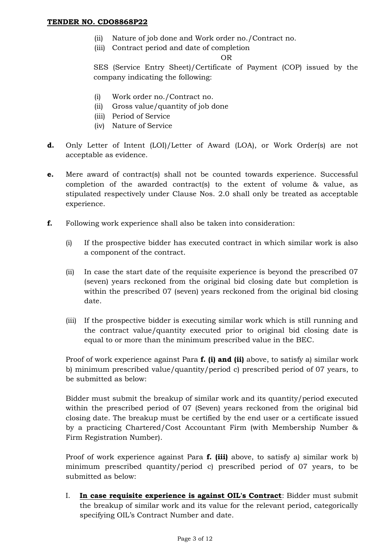- (ii) Nature of job done and Work order no./Contract no.
- (iii) Contract period and date of completion

OR

SES (Service Entry Sheet)/Certificate of Payment (COP) issued by the company indicating the following:

- (i) Work order no./Contract no.
- (ii) Gross value/quantity of job done
- (iii) Period of Service
- (iv) Nature of Service
- **d.** Only Letter of Intent (LOI)/Letter of Award (LOA), or Work Order(s) are not acceptable as evidence.
- **e.** Mere award of contract(s) shall not be counted towards experience. Successful completion of the awarded contract(s) to the extent of volume & value, as stipulated respectively under Clause Nos. 2.0 shall only be treated as acceptable experience.
- **f.** Following work experience shall also be taken into consideration:
	- (i) If the prospective bidder has executed contract in which similar work is also a component of the contract.
	- (ii) In case the start date of the requisite experience is beyond the prescribed 07 (seven) years reckoned from the original bid closing date but completion is within the prescribed 07 (seven) years reckoned from the original bid closing date.
	- (iii) If the prospective bidder is executing similar work which is still running and the contract value/quantity executed prior to original bid closing date is equal to or more than the minimum prescribed value in the BEC.

Proof of work experience against Para **f. (i) and (ii)** above, to satisfy a) similar work b) minimum prescribed value/quantity/period c) prescribed period of 07 years, to be submitted as below:

Bidder must submit the breakup of similar work and its quantity/period executed within the prescribed period of 07 (Seven) years reckoned from the original bid closing date. The breakup must be certified by the end user or a certificate issued by a practicing Chartered/Cost Accountant Firm (with Membership Number & Firm Registration Number).

Proof of work experience against Para **f. (iii)** above, to satisfy a) similar work b) minimum prescribed quantity/period c) prescribed period of 07 years, to be submitted as below:

I. **In case requisite experience is against OIL's Contract**: Bidder must submit the breakup of similar work and its value for the relevant period, categorically specifying OIL's Contract Number and date.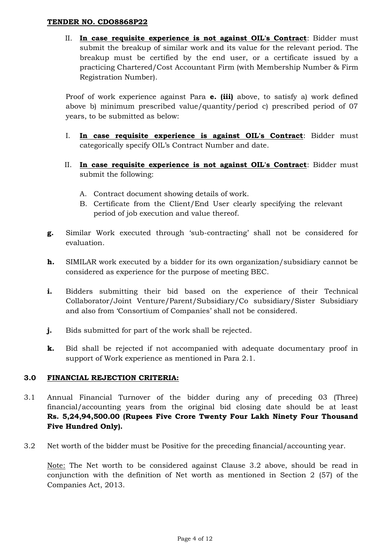II. **In case requisite experience is not against OIL's Contract**: Bidder must submit the breakup of similar work and its value for the relevant period. The breakup must be certified by the end user, or a certificate issued by a practicing Chartered/Cost Accountant Firm (with Membership Number & Firm Registration Number).

Proof of work experience against Para **e. (iii)** above, to satisfy a) work defined above b) minimum prescribed value/quantity/period c) prescribed period of 07 years, to be submitted as below:

- I. **In case requisite experience is against OIL's Contract**: Bidder must categorically specify OIL's Contract Number and date.
- II. **In case requisite experience is not against OIL's Contract**: Bidder must submit the following:
	- A. Contract document showing details of work.
	- B. Certificate from the Client/End User clearly specifying the relevant period of job execution and value thereof.
- **g.** Similar Work executed through 'sub-contracting' shall not be considered for evaluation.
- **h.** SIMILAR work executed by a bidder for its own organization/subsidiary cannot be considered as experience for the purpose of meeting BEC.
- **i.** Bidders submitting their bid based on the experience of their Technical Collaborator/Joint Venture/Parent/Subsidiary/Co subsidiary/Sister Subsidiary and also from 'Consortium of Companies' shall not be considered.
- **j.** Bids submitted for part of the work shall be rejected.
- **k.** Bid shall be rejected if not accompanied with adequate documentary proof in support of Work experience as mentioned in Para 2.1.

## **3.0 FINANCIAL REJECTION CRITERIA:**

- 3.1 Annual Financial Turnover of the bidder during any of preceding 03 (Three) financial/accounting years from the original bid closing date should be at least **Rs. 5,24,94,500.00 (Rupees Five Crore Twenty Four Lakh Ninety Four Thousand Five Hundred Only).**
- 3.2 Net worth of the bidder must be Positive for the preceding financial/accounting year.

Note: The Net worth to be considered against Clause 3.2 above, should be read in conjunction with the definition of Net worth as mentioned in Section 2 (57) of the Companies Act, 2013.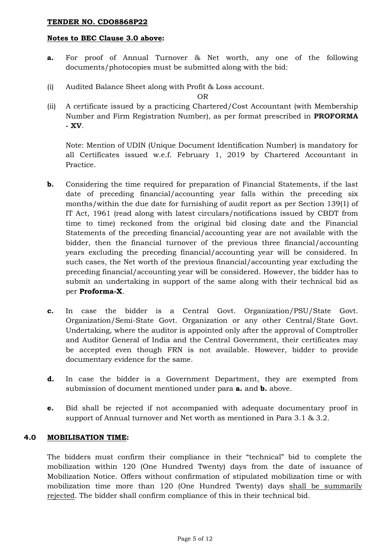#### **Notes to BEC Clause 3.0 above:**

- **a.** For proof of Annual Turnover & Net worth, any one of the following documents/photocopies must be submitted along with the bid:
- (i) Audited Balance Sheet along with Profit & Loss account.

OR

(ii) A certificate issued by a practicing Chartered/Cost Accountant (with Membership Number and Firm Registration Number), as per format prescribed in **PROFORMA - XV**.

Note: Mention of UDIN (Unique Document Identification Number) is mandatory for all Certificates issued w.e.f. February 1, 2019 by Chartered Accountant in Practice.

- **b.** Considering the time required for preparation of Financial Statements, if the last date of preceding financial/accounting year falls within the preceding six months/within the due date for furnishing of audit report as per Section 139(1) of IT Act, 1961 (read along with latest circulars/notifications issued by CBDT from time to time) reckoned from the original bid closing date and the Financial Statements of the preceding financial/accounting year are not available with the bidder, then the financial turnover of the previous three financial/accounting years excluding the preceding financial/accounting year will be considered. In such cases, the Net worth of the previous financial/accounting year excluding the preceding financial/accounting year will be considered. However, the bidder has to submit an undertaking in support of the same along with their technical bid as per **Proforma-X**.
- **c.** In case the bidder is a Central Govt. Organization/PSU/State Govt. Organization/Semi-State Govt. Organization or any other Central/State Govt. Undertaking, where the auditor is appointed only after the approval of Comptroller and Auditor General of India and the Central Government, their certificates may be accepted even though FRN is not available. However, bidder to provide documentary evidence for the same.
- **d.** In case the bidder is a Government Department, they are exempted from submission of document mentioned under para **a.** and **b.** above.
- **e.** Bid shall be rejected if not accompanied with adequate documentary proof in support of Annual turnover and Net worth as mentioned in Para 3.1 & 3.2.

## **4.0 MOBILISATION TIME:**

The bidders must confirm their compliance in their "technical" bid to complete the mobilization within 120 (One Hundred Twenty) days from the date of issuance of Mobilization Notice. Offers without confirmation of stipulated mobilization time or with mobilization time more than 120 (One Hundred Twenty) days shall be summarily rejected. The bidder shall confirm compliance of this in their technical bid.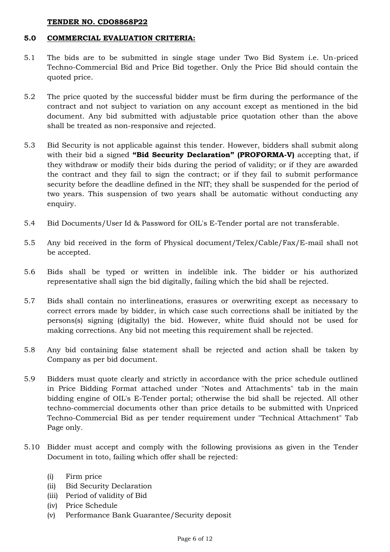### **5.0 COMMERCIAL EVALUATION CRITERIA:**

- 5.1 The bids are to be submitted in single stage under Two Bid System i.e. Un-priced Techno-Commercial Bid and Price Bid together. Only the Price Bid should contain the quoted price.
- 5.2 The price quoted by the successful bidder must be firm during the performance of the contract and not subject to variation on any account except as mentioned in the bid document. Any bid submitted with adjustable price quotation other than the above shall be treated as non-responsive and rejected.
- 5.3 Bid Security is not applicable against this tender. However, bidders shall submit along with their bid a signed **"Bid Security Declaration" (PROFORMA-V)** accepting that, if they withdraw or modify their bids during the period of validity; or if they are awarded the contract and they fail to sign the contract; or if they fail to submit performance security before the deadline defined in the NIT; they shall be suspended for the period of two years. This suspension of two years shall be automatic without conducting any enquiry.
- 5.4 Bid Documents/User Id & Password for OIL's E-Tender portal are not transferable.
- 5.5 Any bid received in the form of Physical document/Telex/Cable/Fax/E-mail shall not be accepted.
- 5.6 Bids shall be typed or written in indelible ink. The bidder or his authorized representative shall sign the bid digitally, failing which the bid shall be rejected.
- 5.7 Bids shall contain no interlineations, erasures or overwriting except as necessary to correct errors made by bidder, in which case such corrections shall be initiated by the persons(s) signing (digitally) the bid. However, white fluid should not be used for making corrections. Any bid not meeting this requirement shall be rejected.
- 5.8 Any bid containing false statement shall be rejected and action shall be taken by Company as per bid document.
- 5.9 Bidders must quote clearly and strictly in accordance with the price schedule outlined in Price Bidding Format attached under "Notes and Attachments" tab in the main bidding engine of OIL's E-Tender portal; otherwise the bid shall be rejected. All other techno-commercial documents other than price details to be submitted with Unpriced Techno-Commercial Bid as per tender requirement under "Technical Attachment" Tab Page only.
- 5.10 Bidder must accept and comply with the following provisions as given in the Tender Document in toto, failing which offer shall be rejected:
	- (i) Firm price
	- (ii) Bid Security Declaration
	- (iii) Period of validity of Bid
	- (iv) Price Schedule
	- (v) Performance Bank Guarantee/Security deposit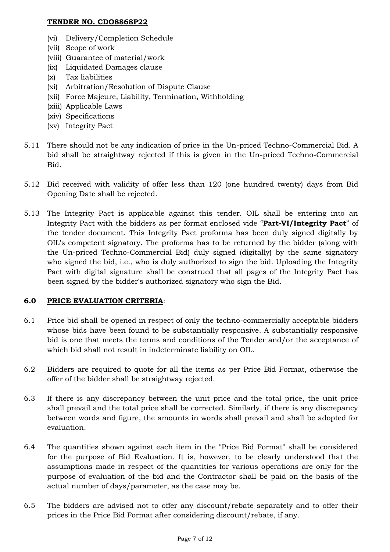- (vi) Delivery/Completion Schedule
- (vii) Scope of work
- (viii) Guarantee of material/work
- (ix) Liquidated Damages clause
- (x) Tax liabilities
- (xi) Arbitration/Resolution of Dispute Clause
- (xii) Force Majeure, Liability, Termination, Withholding
- (xiii) Applicable Laws
- (xiv) Specifications
- (xv) Integrity Pact
- 5.11 There should not be any indication of price in the Un-priced Techno-Commercial Bid. A bid shall be straightway rejected if this is given in the Un-priced Techno-Commercial Bid.
- 5.12 Bid received with validity of offer less than 120 (one hundred twenty) days from Bid Opening Date shall be rejected.
- 5.13 The Integrity Pact is applicable against this tender. OIL shall be entering into an Integrity Pact with the bidders as per format enclosed vide "**Part-VI/Integrity Pact**" of the tender document. This Integrity Pact proforma has been duly signed digitally by OIL's competent signatory. The proforma has to be returned by the bidder (along with the Un-priced Techno-Commercial Bid) duly signed (digitally) by the same signatory who signed the bid, i.e., who is duly authorized to sign the bid. Uploading the Integrity Pact with digital signature shall be construed that all pages of the Integrity Pact has been signed by the bidder's authorized signatory who sign the Bid.

## **6.0 PRICE EVALUATION CRITERIA**:

- 6.1 Price bid shall be opened in respect of only the techno-commercially acceptable bidders whose bids have been found to be substantially responsive. A substantially responsive bid is one that meets the terms and conditions of the Tender and/or the acceptance of which bid shall not result in indeterminate liability on OIL.
- 6.2 Bidders are required to quote for all the items as per Price Bid Format, otherwise the offer of the bidder shall be straightway rejected.
- 6.3 If there is any discrepancy between the unit price and the total price, the unit price shall prevail and the total price shall be corrected. Similarly, if there is any discrepancy between words and figure, the amounts in words shall prevail and shall be adopted for evaluation.
- 6.4 The quantities shown against each item in the "Price Bid Format" shall be considered for the purpose of Bid Evaluation. It is, however, to be clearly understood that the assumptions made in respect of the quantities for various operations are only for the purpose of evaluation of the bid and the Contractor shall be paid on the basis of the actual number of days/parameter, as the case may be.
- 6.5 The bidders are advised not to offer any discount/rebate separately and to offer their prices in the Price Bid Format after considering discount/rebate, if any.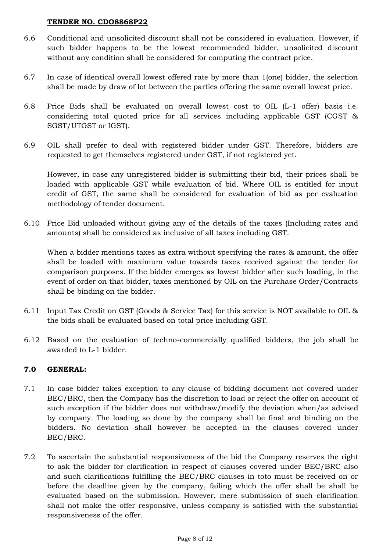- 6.6 Conditional and unsolicited discount shall not be considered in evaluation. However, if such bidder happens to be the lowest recommended bidder, unsolicited discount without any condition shall be considered for computing the contract price.
- 6.7 In case of identical overall lowest offered rate by more than 1(one) bidder, the selection shall be made by draw of lot between the parties offering the same overall lowest price.
- 6.8 Price Bids shall be evaluated on overall lowest cost to OIL (L-1 offer) basis i.e. considering total quoted price for all services including applicable GST (CGST & SGST/UTGST or IGST).
- 6.9 OIL shall prefer to deal with registered bidder under GST. Therefore, bidders are requested to get themselves registered under GST, if not registered yet.

However, in case any unregistered bidder is submitting their bid, their prices shall be loaded with applicable GST while evaluation of bid. Where OIL is entitled for input credit of GST, the same shall be considered for evaluation of bid as per evaluation methodology of tender document.

6.10 Price Bid uploaded without giving any of the details of the taxes (Including rates and amounts) shall be considered as inclusive of all taxes including GST.

When a bidder mentions taxes as extra without specifying the rates & amount, the offer shall be loaded with maximum value towards taxes received against the tender for comparison purposes. If the bidder emerges as lowest bidder after such loading, in the event of order on that bidder, taxes mentioned by OIL on the Purchase Order/Contracts shall be binding on the bidder.

- 6.11 Input Tax Credit on GST (Goods & Service Tax) for this service is NOT available to OIL & the bids shall be evaluated based on total price including GST.
- 6.12 Based on the evaluation of techno-commercially qualified bidders, the job shall be awarded to L-1 bidder.

## **7.0 GENERAL:**

- 7.1 In case bidder takes exception to any clause of bidding document not covered under BEC/BRC, then the Company has the discretion to load or reject the offer on account of such exception if the bidder does not withdraw/modify the deviation when/as advised by company. The loading so done by the company shall be final and binding on the bidders. No deviation shall however be accepted in the clauses covered under BEC/BRC.
- 7.2 To ascertain the substantial responsiveness of the bid the Company reserves the right to ask the bidder for clarification in respect of clauses covered under BEC/BRC also and such clarifications fulfilling the BEC/BRC clauses in toto must be received on or before the deadline given by the company, failing which the offer shall be shall be evaluated based on the submission. However, mere submission of such clarification shall not make the offer responsive, unless company is satisfied with the substantial responsiveness of the offer.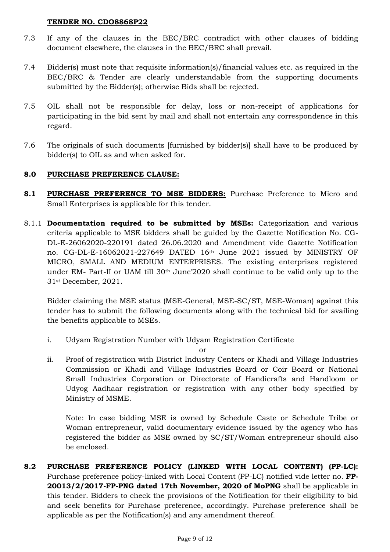- 7.3 If any of the clauses in the BEC/BRC contradict with other clauses of bidding document elsewhere, the clauses in the BEC/BRC shall prevail.
- 7.4 Bidder(s) must note that requisite information(s)/financial values etc. as required in the BEC/BRC & Tender are clearly understandable from the supporting documents submitted by the Bidder(s); otherwise Bids shall be rejected.
- 7.5 OIL shall not be responsible for delay, loss or non-receipt of applications for participating in the bid sent by mail and shall not entertain any correspondence in this regard.
- 7.6 The originals of such documents [furnished by bidder(s)] shall have to be produced by bidder(s) to OIL as and when asked for.

# **8.0 PURCHASE PREFERENCE CLAUSE:**

- **8.1 PURCHASE PREFERENCE TO MSE BIDDERS:** Purchase Preference to Micro and Small Enterprises is applicable for this tender.
- 8.1.1 **Documentation required to be submitted by MSEs:** Categorization and various criteria applicable to MSE bidders shall be guided by the Gazette Notification No. CG-DL-E-26062020-220191 dated 26.06.2020 and Amendment vide Gazette Notification no. CG-DL-E-16062021-227649 DATED 16th June 2021 issued by MINISTRY OF MICRO, SMALL AND MEDIUM ENTERPRISES. The existing enterprises registered under EM- Part-II or UAM till 30th June'2020 shall continue to be valid only up to the 31st December, 2021.

Bidder claiming the MSE status (MSE-General, MSE-SC/ST, MSE-Woman) against this tender has to submit the following documents along with the technical bid for availing the benefits applicable to MSEs.

i. Udyam Registration Number with Udyam Registration Certificate

or

ii. Proof of registration with District Industry Centers or Khadi and Village Industries Commission or Khadi and Village Industries Board or Coir Board or National Small Industries Corporation or Directorate of Handicrafts and Handloom or Udyog Aadhaar registration or registration with any other body specified by Ministry of MSME.

Note: In case bidding MSE is owned by Schedule Caste or Schedule Tribe or Woman entrepreneur, valid documentary evidence issued by the agency who has registered the bidder as MSE owned by SC/ST/Woman entrepreneur should also be enclosed.

**8.2 PURCHASE PREFERENCE POLICY (LINKED WITH LOCAL CONTENT) (PP-LC):**  Purchase preference policy-linked with Local Content (PP-LC) notified vide letter no. **FP-20013/2/2017-FP-PNG dated 17th November, 2020 of MoPNG** shall be applicable in this tender. Bidders to check the provisions of the Notification for their eligibility to bid and seek benefits for Purchase preference, accordingly. Purchase preference shall be applicable as per the Notification(s) and any amendment thereof.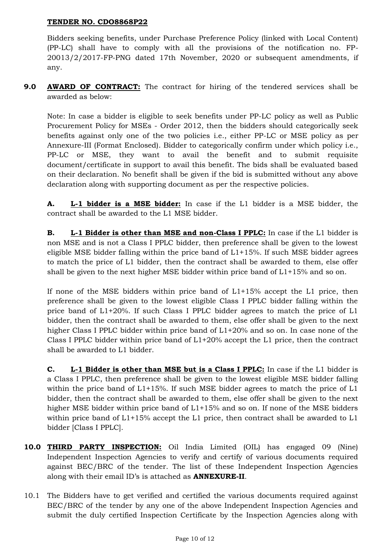Bidders seeking benefits, under Purchase Preference Policy (linked with Local Content) (PP-LC) shall have to comply with all the provisions of the notification no. FP-20013/2/2017-FP-PNG dated 17th November, 2020 or subsequent amendments, if any.

**9.0 AWARD OF CONTRACT:** The contract for hiring of the tendered services shall be awarded as below:

Note: In case a bidder is eligible to seek benefits under PP-LC policy as well as Public Procurement Policy for MSEs - Order 2012, then the bidders should categorically seek benefits against only one of the two policies i.e., either PP-LC or MSE policy as per Annexure-III (Format Enclosed). Bidder to categorically confirm under which policy i.e., PP-LC or MSE, they want to avail the benefit and to submit requisite document/certificate in support to avail this benefit. The bids shall be evaluated based on their declaration. No benefit shall be given if the bid is submitted without any above declaration along with supporting document as per the respective policies.

**A. L-1 bidder is a MSE bidder:** In case if the L1 bidder is a MSE bidder, the contract shall be awarded to the L1 MSE bidder.

**B. L-1 Bidder is other than MSE and non-Class I PPLC:** In case if the L1 bidder is non MSE and is not a Class I PPLC bidder, then preference shall be given to the lowest eligible MSE bidder falling within the price band of  $L1+15%$ . If such MSE bidder agrees to match the price of L1 bidder, then the contract shall be awarded to them, else offer shall be given to the next higher MSE bidder within price band of  $L1+15%$  and so on.

If none of the MSE bidders within price band of L1+15% accept the L1 price, then preference shall be given to the lowest eligible Class I PPLC bidder falling within the price band of L1+20%. If such Class I PPLC bidder agrees to match the price of L1 bidder, then the contract shall be awarded to them, else offer shall be given to the next higher Class I PPLC bidder within price band of L1+20% and so on. In case none of the Class I PPLC bidder within price band of L1+20% accept the L1 price, then the contract shall be awarded to L1 bidder.

**C. L-1 Bidder is other than MSE but is a Class I PPLC:** In case if the L1 bidder is a Class I PPLC, then preference shall be given to the lowest eligible MSE bidder falling within the price band of L1+15%. If such MSE bidder agrees to match the price of L1 bidder, then the contract shall be awarded to them, else offer shall be given to the next higher MSE bidder within price band of  $L1+15%$  and so on. If none of the MSE bidders within price band of L1+15% accept the L1 price, then contract shall be awarded to L1 bidder [Class I PPLC].

- **10.0 THIRD PARTY INSPECTION:** Oil India Limited (OIL) has engaged 09 (Nine) Independent Inspection Agencies to verify and certify of various documents required against BEC/BRC of the tender. The list of these Independent Inspection Agencies along with their email ID's is attached as **ANNEXURE-II**.
- 10.1 The Bidders have to get verified and certified the various documents required against BEC/BRC of the tender by any one of the above Independent Inspection Agencies and submit the duly certified Inspection Certificate by the Inspection Agencies along with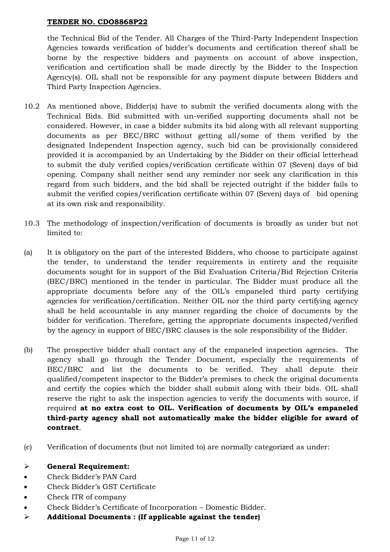the Technical Bid of the Tender. All Charges of the Third-Party Independent Inspection Agencies towards verification of bidder's documents and certification thereof shall be borne by the respective bidders and payments on account of above inspection, verification and certification shall be made directly by the Bidder to the Inspection Agency(s). OIL shall not be responsible for any payment dispute between Bidders and Third Party Inspection Agencies.

- 10.2 As mentioned above, Bidder(s) have to submit the verified documents along with the Technical Bids. Bid submitted with un-verified supporting documents shall not be considered. However, in case a bidder submits its bid along with all relevant supporting documents as per BEC/BRC without getting all/some of them verified by the designated Independent Inspection agency, such bid can be provisionally considered provided it is accompanied by an Undertaking by the Bidder on their official letterhead to submit the duly verified copies/verification certificate within 07 (Seven) days of bid opening. Company shall neither send any reminder nor seek any clarification in this regard from such bidders, and the bid shall be rejected outright if the bidder fails to submit the verified copies/verification certificate within 07 (Seven) days of bid opening at its own risk and responsibility.
- 10.3 The methodology of inspection/verification of documents is broadly as under but not limited to:
- (a) It is obligatory on the part of the interested Bidders, who choose to participate against the tender, to understand the tender requirements in entirety and the requisite documents sought for in support of the Bid Evaluation Criteria/Bid Rejection Criteria (BEC/BRC) mentioned in the tender in particular. The Bidder must produce all the appropriate documents before any of the OIL's empaneled third party certifying agencies for verification/certification. Neither OIL nor the third party certifying agency shall be held accountable in any manner regarding the choice of documents by the bidder for verification. Therefore, getting the appropriate documents inspected/verified by the agency in support of BEC/BRC clauses is the sole responsibility of the Bidder.
- (b) The prospective bidder shall contact any of the empaneled inspection agencies. The agency shall go through the Tender Document, especially the requirements of BEC/BRC and list the documents to be verified. They shall depute their qualified/competent inspector to the Bidder's premises to check the original documents and certify the copies which the bidder shall submit along with their bids. OIL shall reserve the right to ask the inspection agencies to verify the documents with source, if required **at no extra cost to OIL. Verification of documents by OIL's empaneled third-party agency shall not automatically make the bidder eligible for award of contract**.
- (c) Verification of documents (but not limited to) are normally categorized as under:

## **General Requirement:**

- Check Bidder's PAN Card
- Check Bidder's GST Certificate
- Check ITR of company
- Check Bidder's Certificate of Incorporation Domestic Bidder.
- **Additional Documents : (If applicable against the tender)**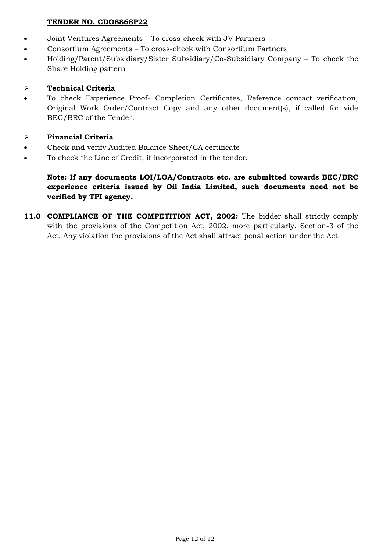- Joint Ventures Agreements To cross-check with JV Partners
- Consortium Agreements To cross-check with Consortium Partners
- Holding/Parent/Subsidiary/Sister Subsidiary/Co-Subsidiary Company To check the Share Holding pattern

# **Technical Criteria**

 To check Experience Proof- Completion Certificates, Reference contact verification, Original Work Order/Contract Copy and any other document(s), if called for vide BEC/BRC of the Tender.

# **Financial Criteria**

- Check and verify Audited Balance Sheet/CA certificate
- To check the Line of Credit, if incorporated in the tender.

# **Note: If any documents LOI/LOA/Contracts etc. are submitted towards BEC/BRC experience criteria issued by Oil India Limited, such documents need not be verified by TPI agency.**

**11.0 COMPLIANCE OF THE COMPETITION ACT, 2002:** The bidder shall strictly comply with the provisions of the Competition Act, 2002, more particularly, Section-3 of the Act. Any violation the provisions of the Act shall attract penal action under the Act.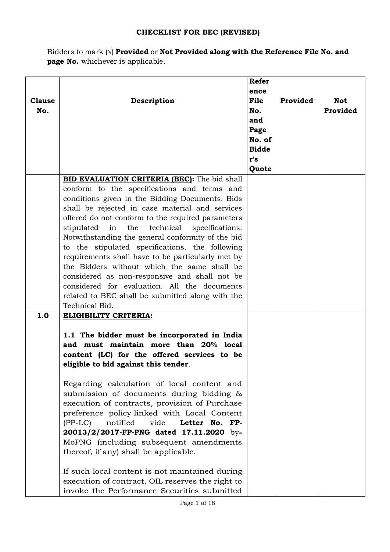## **CHECKLIST FOR BEC (REVISED)**

Bidders to mark (√) **Provided** or **Not Provided along with the Reference File No. and page No.** whichever is applicable.

| <b>Clause</b><br>No. | Description                                                                                                                                                                                                                                                                                                                                                                                                                                                                                                                                                                                                                                                                                                                            | <b>Refer</b><br>ence<br>File<br>No.<br>and<br>Page<br>No. of<br><b>Bidde</b><br>r's | Provided | <b>Not</b><br>Provided |
|----------------------|----------------------------------------------------------------------------------------------------------------------------------------------------------------------------------------------------------------------------------------------------------------------------------------------------------------------------------------------------------------------------------------------------------------------------------------------------------------------------------------------------------------------------------------------------------------------------------------------------------------------------------------------------------------------------------------------------------------------------------------|-------------------------------------------------------------------------------------|----------|------------------------|
|                      |                                                                                                                                                                                                                                                                                                                                                                                                                                                                                                                                                                                                                                                                                                                                        | Quote                                                                               |          |                        |
|                      | BID EVALUATION CRITERIA (BEC): The bid shall<br>conform to the specifications and terms and<br>conditions given in the Bidding Documents. Bids<br>shall be rejected in case material and services<br>offered do not conform to the required parameters<br>in<br>technical<br>stipulated<br>the<br>specifications.<br>Notwithstanding the general conformity of the bid<br>to the stipulated specifications, the following<br>requirements shall have to be particularly met by<br>the Bidders without which the same shall be<br>considered as non-responsive and shall not be<br>considered for evaluation. All the documents<br>related to BEC shall be submitted along with the<br>Technical Bid.                                   |                                                                                     |          |                        |
| 1.0                  | ELIGIBILITY CRITERIA:<br>1.1 The bidder must be incorporated in India<br>and must maintain more than 20% local<br>content (LC) for the offered services to be<br>eligible to bid against this tender.<br>Regarding calculation of local content and<br>submission of documents during bidding &<br>execution of contracts, provision of Purchase<br>preference policy linked with Local Content<br>vide<br>$(PP-LC)$<br>notified<br>Letter No. FP-<br>20013/2/2017-FP-PNG dated 17.11.2020 by-<br>MoPNG (including subsequent amendments<br>thereof, if any) shall be applicable.<br>If such local content is not maintained during<br>execution of contract, OIL reserves the right to<br>invoke the Performance Securities submitted |                                                                                     |          |                        |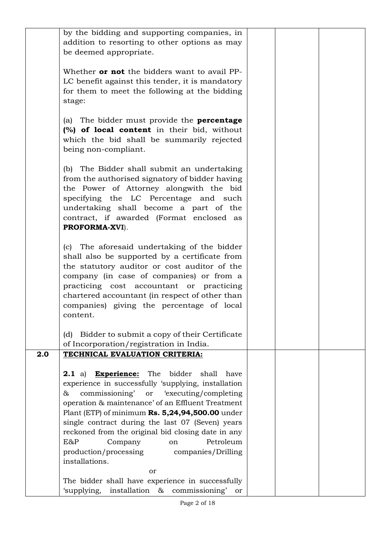|     | by the bidding and supporting companies, in<br>addition to resorting to other options as may<br>be deemed appropriate. |  |  |
|-----|------------------------------------------------------------------------------------------------------------------------|--|--|
|     |                                                                                                                        |  |  |
|     | Whether <b>or not</b> the bidders want to avail PP-                                                                    |  |  |
|     | LC benefit against this tender, it is mandatory<br>for them to meet the following at the bidding                       |  |  |
|     | stage:                                                                                                                 |  |  |
|     |                                                                                                                        |  |  |
|     | (a) The bidder must provide the <b>percentage</b><br>(%) of local content in their bid, without                        |  |  |
|     | which the bid shall be summarily rejected                                                                              |  |  |
|     | being non-compliant.                                                                                                   |  |  |
|     | (b) The Bidder shall submit an undertaking                                                                             |  |  |
|     | from the authorised signatory of bidder having                                                                         |  |  |
|     | the Power of Attorney alongwith the bid<br>specifying the LC Percentage and such                                       |  |  |
|     | undertaking shall become a part of the                                                                                 |  |  |
|     | contract, if awarded (Format enclosed as                                                                               |  |  |
|     | PROFORMA-XVI).                                                                                                         |  |  |
|     | (c) The aforesaid undertaking of the bidder                                                                            |  |  |
|     | shall also be supported by a certificate from                                                                          |  |  |
|     | the statutory auditor or cost auditor of the<br>company (in case of companies) or from a                               |  |  |
|     | practicing cost accountant or practicing                                                                               |  |  |
|     | chartered accountant (in respect of other than                                                                         |  |  |
|     | companies) giving the percentage of local<br>content.                                                                  |  |  |
|     |                                                                                                                        |  |  |
|     | Bidder to submit a copy of their Certificate<br>(d)                                                                    |  |  |
| 2.0 | of Incorporation/registration in India.<br>TECHNICAL EVALUATION CRITERIA:                                              |  |  |
|     |                                                                                                                        |  |  |
|     | <b>Experience:</b> The<br>bidder shall have<br><b>2.1</b> a)<br>experience in successfully 'supplying, installation    |  |  |
|     | commissioning' or 'executing/completing<br>&                                                                           |  |  |
|     | operation & maintenance' of an Effluent Treatment                                                                      |  |  |
|     | Plant (ETP) of minimum Rs. 5,24,94,500.00 under                                                                        |  |  |
|     | single contract during the last 07 (Seven) years<br>reckoned from the original bid closing date in any                 |  |  |
|     | E&P<br>Petroleum<br>Company<br><sub>on</sub>                                                                           |  |  |
|     | production/processing companies/Drilling                                                                               |  |  |
|     | installations.<br>or                                                                                                   |  |  |
|     | The bidder shall have experience in successfully                                                                       |  |  |
|     | 'supplying,<br>installation & commissioning' or                                                                        |  |  |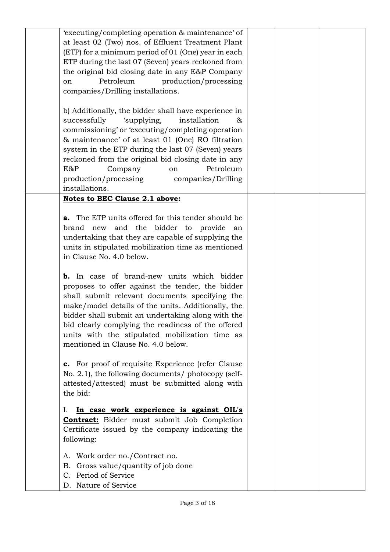| 'executing/completing operation & maintenance' of<br>at least 02 (Two) nos. of Effluent Treatment Plant<br>(ETP) for a minimum period of 01 (One) year in each<br>ETP during the last 07 (Seven) years reckoned from<br>the original bid closing date in any E&P Company<br>Petroleum<br>production/processing<br><sub>on</sub><br>companies/Drilling installations.<br>b) Additionally, the bidder shall have experience in<br>successfully<br>'supplying,<br>installation<br>&<br>commissioning' or 'executing/completing operation<br>& maintenance' of at least 01 (One) RO filtration<br>system in the ETP during the last 07 (Seven) years<br>reckoned from the original bid closing date in any<br>E&P<br>Petroleum<br>Company<br>on<br>production/processing<br>companies/Drilling<br>installations. |  |  |
|--------------------------------------------------------------------------------------------------------------------------------------------------------------------------------------------------------------------------------------------------------------------------------------------------------------------------------------------------------------------------------------------------------------------------------------------------------------------------------------------------------------------------------------------------------------------------------------------------------------------------------------------------------------------------------------------------------------------------------------------------------------------------------------------------------------|--|--|
| <b>Notes to BEC Clause 2.1 above:</b><br><b>a.</b> The ETP units offered for this tender should be<br>and the bidder to provide<br>brand new<br>an<br>undertaking that they are capable of supplying the<br>units in stipulated mobilization time as mentioned<br>in Clause No. 4.0 below.<br><b>b.</b> In case of brand-new units which bidder<br>proposes to offer against the tender, the bidder<br>shall submit relevant documents specifying the<br>make/model details of the units. Additionally, the<br>bidder shall submit an undertaking along with the<br>bid clearly complying the readiness of the offered<br>units with the stipulated mobilization time as<br>mentioned in Clause No. 4.0 below.<br>c. For proof of requisite Experience (refer Clause                                         |  |  |
| No. 2.1), the following documents/ photocopy (self-<br>attested/attested) must be submitted along with<br>the bid:<br>In case work experience is against OIL's<br>Ι.<br><b>Contract:</b> Bidder must submit Job Completion<br>Certificate issued by the company indicating the<br>following:<br>Work order no./Contract no.<br>А.<br>Gross value/quantity of job done<br>В.<br>C. Period of Service<br>D. Nature of Service                                                                                                                                                                                                                                                                                                                                                                                  |  |  |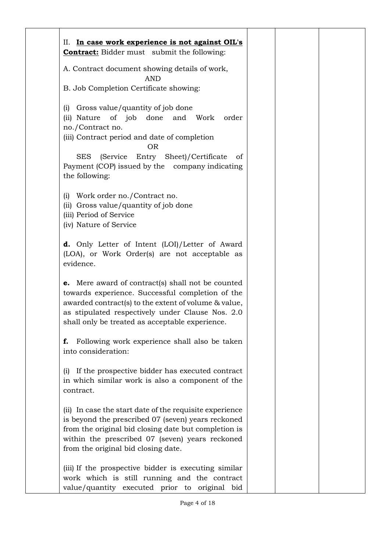| II. In case work experience is not against OIL's<br><b>Contract:</b> Bidder must submit the following:                                                                                                                                                                                                        |  |  |
|---------------------------------------------------------------------------------------------------------------------------------------------------------------------------------------------------------------------------------------------------------------------------------------------------------------|--|--|
| A. Contract document showing details of work,                                                                                                                                                                                                                                                                 |  |  |
| <b>AND</b>                                                                                                                                                                                                                                                                                                    |  |  |
| B. Job Completion Certificate showing:                                                                                                                                                                                                                                                                        |  |  |
| Gross value/quantity of job done<br>(i)<br>(ii) Nature of job done and Work<br>order<br>no./Contract no.<br>(iii) Contract period and date of completion<br><b>OR</b><br><b>SES</b><br>(Service Entry Sheet)/Certificate<br><sub>of</sub><br>Payment (COP) issued by the company indicating<br>the following: |  |  |
| Work order no./Contract no.<br>(i)<br>(ii) Gross value/quantity of job done<br>(iii) Period of Service<br>(iv) Nature of Service                                                                                                                                                                              |  |  |
| <b>d.</b> Only Letter of Intent (LOI)/Letter of Award<br>(LOA), or Work Order(s) are not acceptable as<br>evidence.                                                                                                                                                                                           |  |  |
| <b>e.</b> Mere award of contract(s) shall not be counted<br>towards experience. Successful completion of the<br>awarded contract(s) to the extent of volume & value,<br>as stipulated respectively under Clause Nos. 2.0<br>shall only be treated as acceptable experience.                                   |  |  |
| Following work experience shall also be taken<br>f.<br>into consideration:                                                                                                                                                                                                                                    |  |  |
| If the prospective bidder has executed contract<br>(1)<br>in which similar work is also a component of the<br>contract.                                                                                                                                                                                       |  |  |
| (ii) In case the start date of the requisite experience<br>is beyond the prescribed 07 (seven) years reckoned<br>from the original bid closing date but completion is<br>within the prescribed 07 (seven) years reckoned<br>from the original bid closing date.                                               |  |  |
| (iii) If the prospective bidder is executing similar<br>work which is still running and the contract<br>value/quantity executed prior to original bid                                                                                                                                                         |  |  |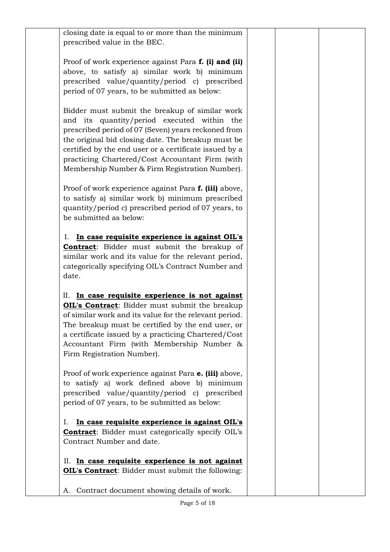| closing date is equal to or more than the minimum<br>prescribed value in the BEC.                                                                                                                                                                                                                                                                                         |  |  |
|---------------------------------------------------------------------------------------------------------------------------------------------------------------------------------------------------------------------------------------------------------------------------------------------------------------------------------------------------------------------------|--|--|
| Proof of work experience against Para f. (i) and (ii)<br>above, to satisfy a) similar work b) minimum<br>prescribed value/quantity/period c) prescribed<br>period of 07 years, to be submitted as below:                                                                                                                                                                  |  |  |
| Bidder must submit the breakup of similar work<br>and its quantity/period executed within the<br>prescribed period of 07 (Seven) years reckoned from<br>the original bid closing date. The breakup must be<br>certified by the end user or a certificate issued by a<br>practicing Chartered/Cost Accountant Firm (with<br>Membership Number & Firm Registration Number). |  |  |
| Proof of work experience against Para f. (iii) above,<br>to satisfy a) similar work b) minimum prescribed<br>quantity/period c) prescribed period of 07 years, to<br>be submitted as below:                                                                                                                                                                               |  |  |
| In case requisite experience is against OIL's<br>Ι.<br><b>Contract:</b> Bidder must submit the breakup of<br>similar work and its value for the relevant period,<br>categorically specifying OIL's Contract Number and<br>date.                                                                                                                                           |  |  |
| In case requisite experience is not against<br>П.<br>OIL's Contract: Bidder must submit the breakup<br>of similar work and its value for the relevant period.<br>The breakup must be certified by the end user, or<br>a certificate issued by a practicing Chartered/Cost<br>Accountant Firm (with Membership Number &<br>Firm Registration Number).                      |  |  |
| Proof of work experience against Para e. (iii) above,<br>to satisfy a) work defined above b) minimum<br>prescribed value/quantity/period c) prescribed<br>period of 07 years, to be submitted as below:                                                                                                                                                                   |  |  |
| In case requisite experience is against OIL's<br>Ι.<br><b>Contract:</b> Bidder must categorically specify OIL's<br>Contract Number and date.                                                                                                                                                                                                                              |  |  |
| II. In case requisite experience is not against<br><b>OIL's Contract:</b> Bidder must submit the following:                                                                                                                                                                                                                                                               |  |  |
| A. Contract document showing details of work.                                                                                                                                                                                                                                                                                                                             |  |  |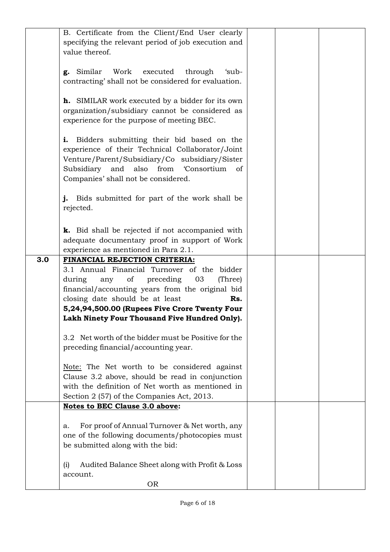|     | B. Certificate from the Client/End User clearly         |  |  |
|-----|---------------------------------------------------------|--|--|
|     | specifying the relevant period of job execution and     |  |  |
|     | value thereof.                                          |  |  |
|     |                                                         |  |  |
|     |                                                         |  |  |
|     | g. Similar<br>Work<br>executed<br>through<br>'sub-      |  |  |
|     | contracting' shall not be considered for evaluation.    |  |  |
|     |                                                         |  |  |
|     |                                                         |  |  |
|     | <b>h.</b> SIMILAR work executed by a bidder for its own |  |  |
|     | organization/subsidiary cannot be considered as         |  |  |
|     | experience for the purpose of meeting BEC.              |  |  |
|     |                                                         |  |  |
|     |                                                         |  |  |
|     | Bidders submitting their bid based on the<br>i.         |  |  |
|     | experience of their Technical Collaborator/Joint        |  |  |
|     | Venture/Parent/Subsidiary/Co subsidiary/Sister          |  |  |
|     | Subsidiary and also<br>from<br><b>Consortium</b>        |  |  |
|     | of                                                      |  |  |
|     | Companies' shall not be considered.                     |  |  |
|     |                                                         |  |  |
|     | Bids submitted for part of the work shall be<br>i.      |  |  |
|     | rejected.                                               |  |  |
|     |                                                         |  |  |
|     |                                                         |  |  |
|     | k. Bid shall be rejected if not accompanied with        |  |  |
|     | adequate documentary proof in support of Work           |  |  |
|     | experience as mentioned in Para 2.1.                    |  |  |
|     |                                                         |  |  |
|     |                                                         |  |  |
| 3.0 | FINANCIAL REJECTION CRITERIA:                           |  |  |
|     | 3.1 Annual Financial Turnover of the bidder             |  |  |
|     |                                                         |  |  |
|     | during<br>any of<br>preceding<br>03<br>(Three)          |  |  |
|     | financial/accounting years from the original bid        |  |  |
|     | closing date should be at least<br>Rs.                  |  |  |
|     | 5,24,94,500.00 (Rupees Five Crore Twenty Four           |  |  |
|     |                                                         |  |  |
|     | Lakh Ninety Four Thousand Five Hundred Only).           |  |  |
|     |                                                         |  |  |
|     | 3.2 Net worth of the bidder must be Positive for the    |  |  |
|     | preceding financial/accounting year.                    |  |  |
|     |                                                         |  |  |
|     | Note: The Net worth to be considered against            |  |  |
|     |                                                         |  |  |
|     | Clause 3.2 above, should be read in conjunction         |  |  |
|     | with the definition of Net worth as mentioned in        |  |  |
|     | Section 2 (57) of the Companies Act, 2013.              |  |  |
|     | Notes to BEC Clause 3.0 above:                          |  |  |
|     |                                                         |  |  |
|     | a.                                                      |  |  |
|     | For proof of Annual Turnover & Net worth, any           |  |  |
|     | one of the following documents/photocopies must         |  |  |
|     | be submitted along with the bid:                        |  |  |
|     |                                                         |  |  |
|     |                                                         |  |  |
|     | Audited Balance Sheet along with Profit & Loss<br>(i)   |  |  |
|     | account.<br><b>OR</b>                                   |  |  |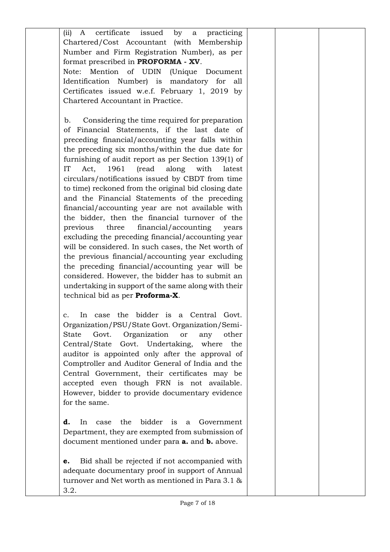| certificate<br>issued<br>by<br>(ii)<br>practicing<br>A<br>a  |  |  |
|--------------------------------------------------------------|--|--|
| Chartered/Cost Accountant (with Membership                   |  |  |
| Number and Firm Registration Number), as per                 |  |  |
| format prescribed in <b>PROFORMA</b> - XV.                   |  |  |
| Mention of UDIN<br>Note:<br>(Unique Document                 |  |  |
| Identification Number) is mandatory for<br>all               |  |  |
| Certificates issued w.e.f. February 1, 2019 by               |  |  |
| Chartered Accountant in Practice.                            |  |  |
|                                                              |  |  |
|                                                              |  |  |
| Considering the time required for preparation<br>b.          |  |  |
| Financial Statements, if the last date of<br>οf              |  |  |
| preceding financial/accounting year falls within             |  |  |
| the preceding six months/within the due date for             |  |  |
| furnishing of audit report as per Section 139(1) of          |  |  |
| IT<br>1961<br>(read<br>along<br>Act,<br>with<br>latest       |  |  |
| circulars/notifications issued by CBDT from time             |  |  |
| to time) reckoned from the original bid closing date         |  |  |
| and the Financial Statements of the preceding                |  |  |
| financial/accounting year are not available with             |  |  |
| the bidder, then the financial turnover of the               |  |  |
| previous<br>three<br>financial/accounting<br>years           |  |  |
| excluding the preceding financial/accounting year            |  |  |
| will be considered. In such cases, the Net worth of          |  |  |
| the previous financial/accounting year excluding             |  |  |
|                                                              |  |  |
| the preceding financial/accounting year will be              |  |  |
| considered. However, the bidder has to submit an             |  |  |
| undertaking in support of the same along with their          |  |  |
| technical bid as per Proforma-X.                             |  |  |
|                                                              |  |  |
| the bidder is a Central<br>Govt.<br>In<br>case<br>c.         |  |  |
| Organization/PSU/State Govt. Organization/Semi-              |  |  |
| Organization<br>Govt.<br><b>State</b><br>other<br>or<br>any  |  |  |
| Govt.<br>Undertaking,<br>where<br>Central/State<br>the       |  |  |
| auditor is appointed only after the approval of              |  |  |
| Comptroller and Auditor General of India and the             |  |  |
| Central Government, their certificates may be                |  |  |
| accepted even though FRN is not available.                   |  |  |
| However, bidder to provide documentary evidence              |  |  |
| for the same.                                                |  |  |
|                                                              |  |  |
| bidder<br>the<br>is<br>d.<br>In<br>Government<br>case<br>a   |  |  |
|                                                              |  |  |
| Department, they are exempted from submission of             |  |  |
| document mentioned under para <b>a.</b> and <b>b.</b> above. |  |  |
|                                                              |  |  |
| Bid shall be rejected if not accompanied with<br>e.          |  |  |
| adequate documentary proof in support of Annual              |  |  |
| turnover and Net worth as mentioned in Para 3.1 &            |  |  |
| 3.2.                                                         |  |  |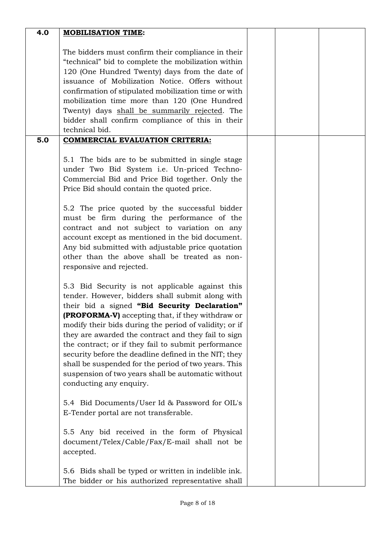| 4.0 | <b>MOBILISATION TIME:</b>                               |  |  |
|-----|---------------------------------------------------------|--|--|
|     |                                                         |  |  |
|     | The bidders must confirm their compliance in their      |  |  |
|     | "technical" bid to complete the mobilization within     |  |  |
|     | 120 (One Hundred Twenty) days from the date of          |  |  |
|     | issuance of Mobilization Notice. Offers without         |  |  |
|     | confirmation of stipulated mobilization time or with    |  |  |
|     | mobilization time more than 120 (One Hundred            |  |  |
|     | Twenty) days shall be summarily rejected. The           |  |  |
|     | bidder shall confirm compliance of this in their        |  |  |
|     | technical bid.                                          |  |  |
| 5.0 | <b>COMMERCIAL EVALUATION CRITERIA:</b>                  |  |  |
|     |                                                         |  |  |
|     | 5.1 The bids are to be submitted in single stage        |  |  |
|     | under Two Bid System i.e. Un-priced Techno-             |  |  |
|     | Commercial Bid and Price Bid together. Only the         |  |  |
|     | Price Bid should contain the quoted price.              |  |  |
|     |                                                         |  |  |
|     | 5.2 The price quoted by the successful bidder           |  |  |
|     | must be firm during the performance of the              |  |  |
|     | contract and not subject to variation on any            |  |  |
|     | account except as mentioned in the bid document.        |  |  |
|     | Any bid submitted with adjustable price quotation       |  |  |
|     | other than the above shall be treated as non-           |  |  |
|     | responsive and rejected.                                |  |  |
|     |                                                         |  |  |
|     | 5.3 Bid Security is not applicable against this         |  |  |
|     | tender. However, bidders shall submit along with        |  |  |
|     | their bid a signed "Bid Security Declaration"           |  |  |
|     | <b>(PROFORMA-V)</b> accepting that, if they withdraw or |  |  |
|     | modify their bids during the period of validity; or if  |  |  |
|     | they are awarded the contract and they fail to sign     |  |  |
|     | the contract; or if they fail to submit performance     |  |  |
|     | security before the deadline defined in the NIT; they   |  |  |
|     | shall be suspended for the period of two years. This    |  |  |
|     | suspension of two years shall be automatic without      |  |  |
|     | conducting any enquiry.                                 |  |  |
|     |                                                         |  |  |
|     | 5.4 Bid Documents/User Id & Password for OIL's          |  |  |
|     | E-Tender portal are not transferable.                   |  |  |
|     |                                                         |  |  |
|     | 5.5 Any bid received in the form of Physical            |  |  |
|     | document/Telex/Cable/Fax/E-mail shall not be            |  |  |
|     | accepted.                                               |  |  |
|     |                                                         |  |  |
|     | 5.6 Bids shall be typed or written in indelible ink.    |  |  |
|     | The bidder or his authorized representative shall       |  |  |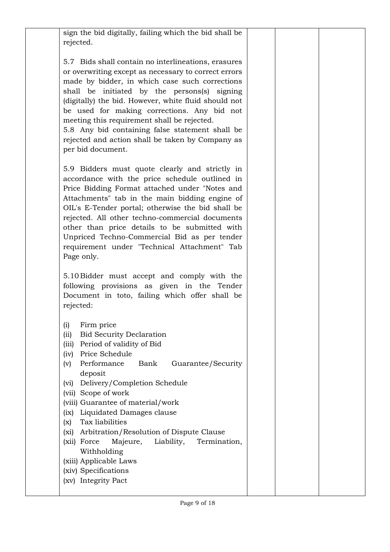| rejected.<br>5.7 Bids shall contain no interlineations, erasures<br>or overwriting except as necessary to correct errors<br>made by bidder, in which case such corrections                                                                                                                                                                                                                                                                                                                                                                                                                                                               |  |
|------------------------------------------------------------------------------------------------------------------------------------------------------------------------------------------------------------------------------------------------------------------------------------------------------------------------------------------------------------------------------------------------------------------------------------------------------------------------------------------------------------------------------------------------------------------------------------------------------------------------------------------|--|
|                                                                                                                                                                                                                                                                                                                                                                                                                                                                                                                                                                                                                                          |  |
| shall be initiated by the persons(s) signing<br>(digitally) the bid. However, white fluid should not<br>be used for making corrections. Any bid not<br>meeting this requirement shall be rejected.<br>5.8 Any bid containing false statement shall be<br>rejected and action shall be taken by Company as<br>per bid document.                                                                                                                                                                                                                                                                                                           |  |
| 5.9 Bidders must quote clearly and strictly in<br>accordance with the price schedule outlined in<br>Price Bidding Format attached under "Notes and<br>Attachments" tab in the main bidding engine of<br>OIL's E-Tender portal; otherwise the bid shall be<br>rejected. All other techno-commercial documents<br>other than price details to be submitted with<br>Unpriced Techno-Commercial Bid as per tender<br>requirement under "Technical Attachment" Tab<br>Page only.<br>5.10 Bidder must accept and comply with the<br>following provisions as given in the Tender<br>Document in toto, failing which offer shall be<br>rejected: |  |
| Firm price<br>(i)<br><b>Bid Security Declaration</b><br>(ii)<br>Period of validity of Bid<br>(iii)<br>Price Schedule<br>(iv)<br>Performance<br>Bank<br>Guarantee/Security<br>(v)<br>deposit<br>Delivery/Completion Schedule<br>(vi)<br>(vii) Scope of work<br>(viii) Guarantee of material/work<br>Liquidated Damages clause<br>(ix)<br>Tax liabilities<br>(x)<br>Arbitration/Resolution of Dispute Clause<br>(xi)<br>Majeure,<br>Liability,<br>Termination,<br>(xii) Force<br>Withholding<br>(xiii) Applicable Laws<br>(xiv) Specifications<br>(xv) Integrity Pact                                                                      |  |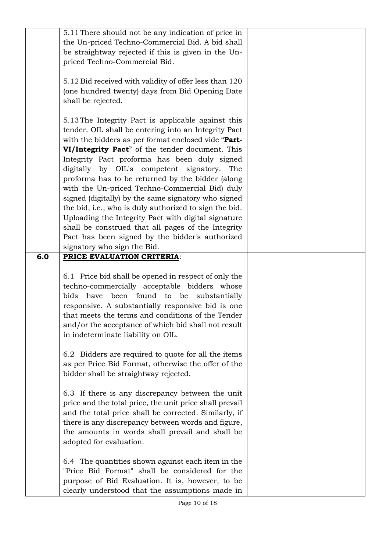|     | 5.11 There should not be any indication of price in<br>the Un-priced Techno-Commercial Bid. A bid shall<br>be straightway rejected if this is given in the Un-<br>priced Techno-Commercial Bid.<br>5.12 Bid received with validity of offer less than 120<br>(one hundred twenty) days from Bid Opening Date<br>shall be rejected.                                                                                                                                                                                                                                                                                                                                                                            |  |  |
|-----|---------------------------------------------------------------------------------------------------------------------------------------------------------------------------------------------------------------------------------------------------------------------------------------------------------------------------------------------------------------------------------------------------------------------------------------------------------------------------------------------------------------------------------------------------------------------------------------------------------------------------------------------------------------------------------------------------------------|--|--|
|     | 5.13 The Integrity Pact is applicable against this<br>tender. OIL shall be entering into an Integrity Pact<br>with the bidders as per format enclosed vide "Part-<br>VI/Integrity Pact" of the tender document. This<br>Integrity Pact proforma has been duly signed<br>digitally by OIL's competent signatory.<br>The<br>proforma has to be returned by the bidder (along<br>with the Un-priced Techno-Commercial Bid) duly<br>signed (digitally) by the same signatory who signed<br>the bid, i.e., who is duly authorized to sign the bid.<br>Uploading the Integrity Pact with digital signature<br>shall be construed that all pages of the Integrity<br>Pact has been signed by the bidder's authorized |  |  |
| 6.0 | signatory who sign the Bid.<br>PRICE EVALUATION CRITERIA:                                                                                                                                                                                                                                                                                                                                                                                                                                                                                                                                                                                                                                                     |  |  |
|     | 6.1 Price bid shall be opened in respect of only the<br>techno-commercially acceptable bidders whose<br>bids have been found to be substantially<br>responsive. A substantially responsive bid is one<br>that meets the terms and conditions of the Tender<br>and/or the acceptance of which bid shall not result<br>in indeterminate liability on OIL.                                                                                                                                                                                                                                                                                                                                                       |  |  |
|     | 6.2 Bidders are required to quote for all the items<br>as per Price Bid Format, otherwise the offer of the<br>bidder shall be straightway rejected.                                                                                                                                                                                                                                                                                                                                                                                                                                                                                                                                                           |  |  |
|     | 6.3 If there is any discrepancy between the unit<br>price and the total price, the unit price shall prevail<br>and the total price shall be corrected. Similarly, if<br>there is any discrepancy between words and figure,<br>the amounts in words shall prevail and shall be<br>adopted for evaluation.                                                                                                                                                                                                                                                                                                                                                                                                      |  |  |
|     | 6.4 The quantities shown against each item in the<br>"Price Bid Format" shall be considered for the<br>purpose of Bid Evaluation. It is, however, to be<br>clearly understood that the assumptions made in                                                                                                                                                                                                                                                                                                                                                                                                                                                                                                    |  |  |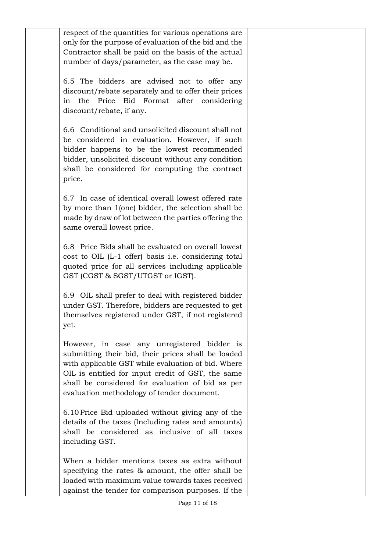| respect of the quantities for various operations are<br>only for the purpose of evaluation of the bid and the<br>Contractor shall be paid on the basis of the actual<br>number of days/parameter, as the case may be.                                                                                          |  |  |
|----------------------------------------------------------------------------------------------------------------------------------------------------------------------------------------------------------------------------------------------------------------------------------------------------------------|--|--|
| 6.5 The bidders are advised not to offer any<br>discount/rebate separately and to offer their prices<br>the Price Bid Format after considering<br>in<br>discount/rebate, if any.                                                                                                                               |  |  |
| 6.6 Conditional and unsolicited discount shall not<br>be considered in evaluation. However, if such<br>bidder happens to be the lowest recommended<br>bidder, unsolicited discount without any condition<br>shall be considered for computing the contract<br>price.                                           |  |  |
| 6.7 In case of identical overall lowest offered rate<br>by more than 1(one) bidder, the selection shall be<br>made by draw of lot between the parties offering the<br>same overall lowest price.                                                                                                               |  |  |
| 6.8 Price Bids shall be evaluated on overall lowest<br>cost to OIL (L-1 offer) basis i.e. considering total<br>quoted price for all services including applicable<br>GST (CGST & SGST/UTGST or IGST).                                                                                                          |  |  |
| 6.9 OIL shall prefer to deal with registered bidder<br>under GST. Therefore, bidders are requested to get<br>themselves registered under GST, if not registered<br>yet.                                                                                                                                        |  |  |
| However, in case any unregistered bidder is<br>submitting their bid, their prices shall be loaded<br>with applicable GST while evaluation of bid. Where<br>OIL is entitled for input credit of GST, the same<br>shall be considered for evaluation of bid as per<br>evaluation methodology of tender document. |  |  |
| 6.10 Price Bid uploaded without giving any of the<br>details of the taxes (Including rates and amounts)<br>shall be considered as inclusive of all taxes<br>including GST.                                                                                                                                     |  |  |
| When a bidder mentions taxes as extra without<br>specifying the rates & amount, the offer shall be<br>loaded with maximum value towards taxes received<br>against the tender for comparison purposes. If the                                                                                                   |  |  |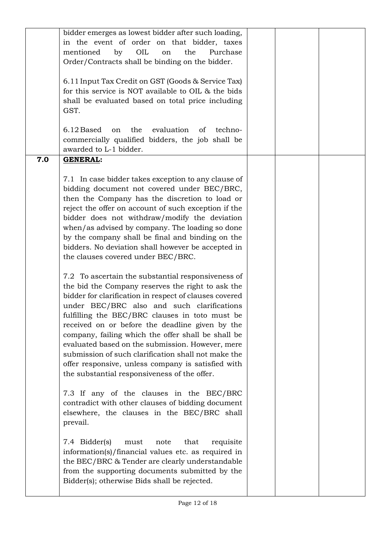|     | bidder emerges as lowest bidder after such loading,<br>in the event of order on that bidder, taxes<br>mentioned<br>by<br>OIL<br>the<br>Purchase<br>on<br>Order/Contracts shall be binding on the bidder.<br>6.11 Input Tax Credit on GST (Goods & Service Tax)<br>for this service is NOT available to OIL & the bids<br>shall be evaluated based on total price including<br>GST.                                                                                                                                                                                                                                                                                                                                                                                                                                                                                                                                                                                                                                                                                                                                                                                                                                                                                                                                                                                                                                                                                                                               |  |  |
|-----|------------------------------------------------------------------------------------------------------------------------------------------------------------------------------------------------------------------------------------------------------------------------------------------------------------------------------------------------------------------------------------------------------------------------------------------------------------------------------------------------------------------------------------------------------------------------------------------------------------------------------------------------------------------------------------------------------------------------------------------------------------------------------------------------------------------------------------------------------------------------------------------------------------------------------------------------------------------------------------------------------------------------------------------------------------------------------------------------------------------------------------------------------------------------------------------------------------------------------------------------------------------------------------------------------------------------------------------------------------------------------------------------------------------------------------------------------------------------------------------------------------------|--|--|
|     | on the evaluation of<br>6.12 Based<br>techno-<br>commercially qualified bidders, the job shall be<br>awarded to L-1 bidder.                                                                                                                                                                                                                                                                                                                                                                                                                                                                                                                                                                                                                                                                                                                                                                                                                                                                                                                                                                                                                                                                                                                                                                                                                                                                                                                                                                                      |  |  |
| 7.0 | <b>GENERAL:</b><br>7.1 In case bidder takes exception to any clause of<br>bidding document not covered under BEC/BRC,<br>then the Company has the discretion to load or<br>reject the offer on account of such exception if the<br>bidder does not withdraw/modify the deviation<br>when/as advised by company. The loading so done<br>by the company shall be final and binding on the<br>bidders. No deviation shall however be accepted in<br>the clauses covered under BEC/BRC.<br>7.2 To ascertain the substantial responsiveness of<br>the bid the Company reserves the right to ask the<br>bidder for clarification in respect of clauses covered<br>under BEC/BRC also and such clarifications<br>fulfilling the BEC/BRC clauses in toto must be<br>received on or before the deadline given by the<br>company, failing which the offer shall be shall be<br>evaluated based on the submission. However, mere<br>submission of such clarification shall not make the<br>offer responsive, unless company is satisfied with<br>the substantial responsiveness of the offer.<br>7.3 If any of the clauses in the BEC/BRC<br>contradict with other clauses of bidding document<br>elsewhere, the clauses in the BEC/BRC shall<br>prevail.<br>7.4 Bidder(s)<br>that<br>requisite<br>must<br>note<br>information(s)/financial values etc. as required in<br>the BEC/BRC & Tender are clearly understandable<br>from the supporting documents submitted by the<br>Bidder(s); otherwise Bids shall be rejected. |  |  |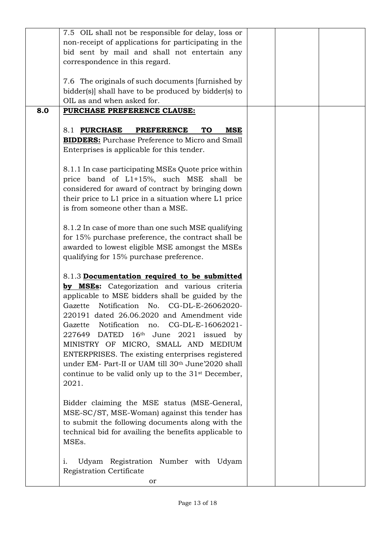|     | 7.5 OIL shall not be responsible for delay, loss or            |  |  |
|-----|----------------------------------------------------------------|--|--|
|     | non-receipt of applications for participating in the           |  |  |
|     | bid sent by mail and shall not entertain any                   |  |  |
|     | correspondence in this regard.                                 |  |  |
|     |                                                                |  |  |
|     | 7.6 The originals of such documents [furnished by              |  |  |
|     |                                                                |  |  |
|     | bidder(s) shall have to be produced by bidder(s) to            |  |  |
|     | OIL as and when asked for.                                     |  |  |
| 8.0 | PURCHASE PREFERENCE CLAUSE:                                    |  |  |
|     |                                                                |  |  |
|     | 8.1 PURCHASE<br><b>PREFERENCE</b><br><b>TO</b><br>MSE          |  |  |
|     | <b>BIDDERS:</b> Purchase Preference to Micro and Small         |  |  |
|     | Enterprises is applicable for this tender.                     |  |  |
|     |                                                                |  |  |
|     | 8.1.1 In case participating MSEs Quote price within            |  |  |
|     | price band of L1+15%, such MSE shall be                        |  |  |
|     | considered for award of contract by bringing down              |  |  |
|     | their price to L1 price in a situation where L1 price          |  |  |
|     | is from someone other than a MSE.                              |  |  |
|     |                                                                |  |  |
|     | 8.1.2 In case of more than one such MSE qualifying             |  |  |
|     | for 15% purchase preference, the contract shall be             |  |  |
|     | awarded to lowest eligible MSE amongst the MSEs                |  |  |
|     | qualifying for 15% purchase preference.                        |  |  |
|     |                                                                |  |  |
|     | 8.1.3 Documentation required to be submitted                   |  |  |
|     | by MSEs: Categorization and various criteria                   |  |  |
|     | applicable to MSE bidders shall be guided by the               |  |  |
|     | Notification No. CG-DL-E-26062020-<br>Gazette                  |  |  |
|     | 220191 dated 26.06.2020 and Amendment vide                     |  |  |
|     | Gazette<br>Notification no.<br>CG-DL-E-16062021-               |  |  |
|     | 227649<br>DATED 16th June 2021 issued by                       |  |  |
|     | MINISTRY OF MICRO, SMALL AND MEDIUM                            |  |  |
|     |                                                                |  |  |
|     | ENTERPRISES. The existing enterprises registered               |  |  |
|     | under EM- Part-II or UAM till 30 <sup>th</sup> June'2020 shall |  |  |
|     | continue to be valid only up to the 31 <sup>st</sup> December, |  |  |
|     | 2021.                                                          |  |  |
|     |                                                                |  |  |
|     | Bidder claiming the MSE status (MSE-General,                   |  |  |
|     | MSE-SC/ST, MSE-Woman) against this tender has                  |  |  |
|     | to submit the following documents along with the               |  |  |
|     | technical bid for availing the benefits applicable to          |  |  |
|     | MSEs.                                                          |  |  |
|     |                                                                |  |  |
|     | Udyam Registration Number with Udyam<br>1.                     |  |  |
|     | Registration Certificate                                       |  |  |
|     | or                                                             |  |  |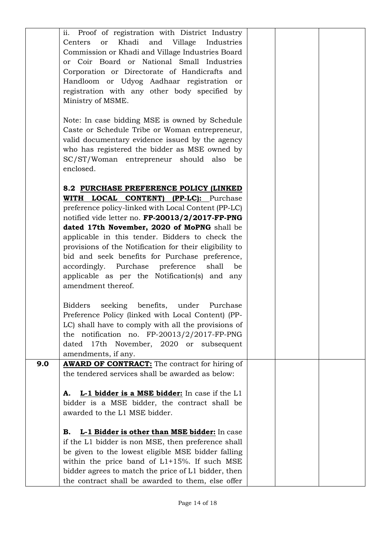|     | ii. Proof of registration with District Industry        |  |  |
|-----|---------------------------------------------------------|--|--|
|     | Khadi<br>and<br>Village<br>Centers<br>Industries<br>or  |  |  |
|     | Commission or Khadi and Village Industries Board        |  |  |
|     | or Coir Board or National Small Industries              |  |  |
|     |                                                         |  |  |
|     | Corporation or Directorate of Handicrafts and           |  |  |
|     | Handloom or Udyog Aadhaar registration or               |  |  |
|     | registration with any other body specified by           |  |  |
|     | Ministry of MSME.                                       |  |  |
|     |                                                         |  |  |
|     | Note: In case bidding MSE is owned by Schedule          |  |  |
|     | Caste or Schedule Tribe or Woman entrepreneur,          |  |  |
|     | valid documentary evidence issued by the agency         |  |  |
|     |                                                         |  |  |
|     | who has registered the bidder as MSE owned by           |  |  |
|     | SC/ST/Woman entrepreneur should also<br>be              |  |  |
|     | enclosed.                                               |  |  |
|     |                                                         |  |  |
|     | 8.2 PURCHASE PREFERENCE POLICY (LINKED                  |  |  |
|     | WITH LOCAL CONTENT)<br><b>(PP-LC):</b> Purchase         |  |  |
|     | preference policy-linked with Local Content (PP-LC)     |  |  |
|     | notified vide letter no. FP-20013/2/2017-FP-PNG         |  |  |
|     | dated 17th November, 2020 of MoPNG shall be             |  |  |
|     |                                                         |  |  |
|     | applicable in this tender. Bidders to check the         |  |  |
|     | provisions of the Notification for their eligibility to |  |  |
|     | bid and seek benefits for Purchase preference,          |  |  |
|     | accordingly. Purchase<br>preference<br>shall<br>be      |  |  |
|     | applicable as per the Notification(s) and any           |  |  |
|     | amendment thereof.                                      |  |  |
|     |                                                         |  |  |
|     | seeking benefits, under<br><b>Bidders</b><br>Purchase   |  |  |
|     | Preference Policy (linked with Local Content) (PP-      |  |  |
|     | LC) shall have to comply with all the provisions of     |  |  |
|     |                                                         |  |  |
|     | the notification no. $FP-20013/2/2017-FP-PNG$           |  |  |
|     | 17th November, 2020 or subsequent<br>dated              |  |  |
|     | amendments, if any.                                     |  |  |
| 9.0 | <b>AWARD OF CONTRACT:</b> The contract for hiring of    |  |  |
|     | the tendered services shall be awarded as below:        |  |  |
|     |                                                         |  |  |
|     | L-1 bidder is a MSE bidder: In case if the L1<br>А.     |  |  |
|     | bidder is a MSE bidder, the contract shall be           |  |  |
|     | awarded to the L1 MSE bidder.                           |  |  |
|     |                                                         |  |  |
|     | L-1 Bidder is other than MSE bidder: In case<br>В.      |  |  |
|     | if the L1 bidder is non MSE, then preference shall      |  |  |
|     | be given to the lowest eligible MSE bidder falling      |  |  |
|     |                                                         |  |  |
|     | within the price band of $L1+15%$ . If such MSE         |  |  |
|     | bidder agrees to match the price of L1 bidder, then     |  |  |
|     | the contract shall be awarded to them, else offer       |  |  |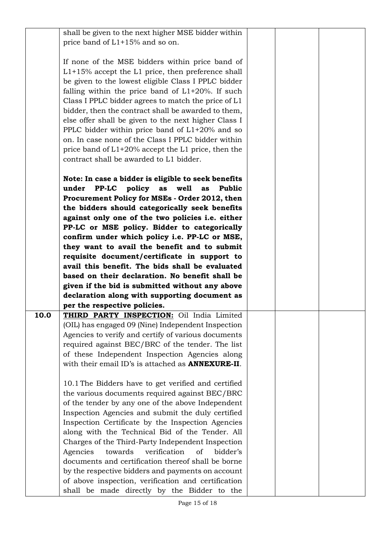|      | shall be given to the next higher MSE bidder within<br>price band of L1+15% and so on.                      |  |  |
|------|-------------------------------------------------------------------------------------------------------------|--|--|
|      | If none of the MSE bidders within price band of                                                             |  |  |
|      | $L1+15%$ accept the L1 price, then preference shall<br>be given to the lowest eligible Class I PPLC bidder  |  |  |
|      | falling within the price band of $L1+20\%$ . If such                                                        |  |  |
|      | Class I PPLC bidder agrees to match the price of L1                                                         |  |  |
|      | bidder, then the contract shall be awarded to them,<br>else offer shall be given to the next higher Class I |  |  |
|      | PPLC bidder within price band of $L1+20\%$ and so                                                           |  |  |
|      | on. In case none of the Class I PPLC bidder within                                                          |  |  |
|      | price band of $L1+20\%$ accept the L1 price, then the<br>contract shall be awarded to L1 bidder.            |  |  |
|      | Note: In case a bidder is eligible to seek benefits                                                         |  |  |
|      | PP-LC policy<br>as<br>well<br><b>Public</b><br>under<br>as                                                  |  |  |
|      | Procurement Policy for MSEs - Order 2012, then                                                              |  |  |
|      | the bidders should categorically seek benefits<br>against only one of the two policies i.e. either          |  |  |
|      | PP-LC or MSE policy. Bidder to categorically                                                                |  |  |
|      | confirm under which policy i.e. PP-LC or MSE,                                                               |  |  |
|      | they want to avail the benefit and to submit<br>requisite document/certificate in support to                |  |  |
|      | avail this benefit. The bids shall be evaluated                                                             |  |  |
|      | based on their declaration. No benefit shall be                                                             |  |  |
|      | given if the bid is submitted without any above<br>declaration along with supporting document as            |  |  |
|      | per the respective policies.                                                                                |  |  |
| 10.0 | THIRD PARTY INSPECTION: Oil India Limited                                                                   |  |  |
|      | (OIL) has engaged 09 (Nine) Independent Inspection<br>Agencies to verify and certify of various documents   |  |  |
|      | required against BEC/BRC of the tender. The list                                                            |  |  |
|      | of these Independent Inspection Agencies along<br>with their email ID's is attached as <b>ANNEXURE-II</b> . |  |  |
|      |                                                                                                             |  |  |
|      | 10.1 The Bidders have to get verified and certified                                                         |  |  |
|      | the various documents required against BEC/BRC<br>of the tender by any one of the above Independent         |  |  |
|      | Inspection Agencies and submit the duly certified                                                           |  |  |
|      | Inspection Certificate by the Inspection Agencies                                                           |  |  |
|      | along with the Technical Bid of the Tender. All<br>Charges of the Third-Party Independent Inspection        |  |  |
|      | Agencies<br>towards<br>verification<br>of<br>bidder's                                                       |  |  |
|      | documents and certification thereof shall be borne                                                          |  |  |
|      | by the respective bidders and payments on account<br>of above inspection, verification and certification    |  |  |
|      | shall be made directly by the Bidder to the                                                                 |  |  |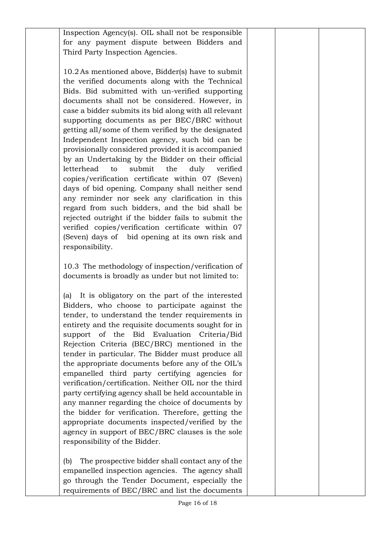Inspection Agency(s). OIL shall not be responsible for any payment dispute between Bidders and Third Party Inspection Agencies.

10.2 As mentioned above, Bidder(s) have to submit the verified documents along with the Technical Bids. Bid submitted with un-verified supporting documents shall not be considered. However, in case a bidder submits its bid along with all relevant supporting documents as per BEC/BRC without getting all/some of them verified by the designated Independent Inspection agency, such bid can be provisionally considered provided it is accompanied by an Undertaking by the Bidder on their official letterhead to submit the duly verified copies/verification certificate within 07 (Seven) days of bid opening. Company shall neither send any reminder nor seek any clarification in this regard from such bidders, and the bid shall be rejected outright if the bidder fails to submit the verified copies/verification certificate within 07 (Seven) days of bid opening at its own risk and responsibility.

10.3 The methodology of inspection/verification of documents is broadly as under but not limited to:

(a) It is obligatory on the part of the interested Bidders, who choose to participate against the tender, to understand the tender requirements in entirety and the requisite documents sought for in support of the Bid Evaluation Criteria/Bid Rejection Criteria (BEC/BRC) mentioned in the tender in particular. The Bidder must produce all the appropriate documents before any of the OIL's empanelled third party certifying agencies for verification/certification. Neither OIL nor the third party certifying agency shall be held accountable in any manner regarding the choice of documents by the bidder for verification. Therefore, getting the appropriate documents inspected/verified by the agency in support of BEC/BRC clauses is the sole responsibility of the Bidder.

(b) The prospective bidder shall contact any of the empanelled inspection agencies. The agency shall go through the Tender Document, especially the requirements of BEC/BRC and list the documents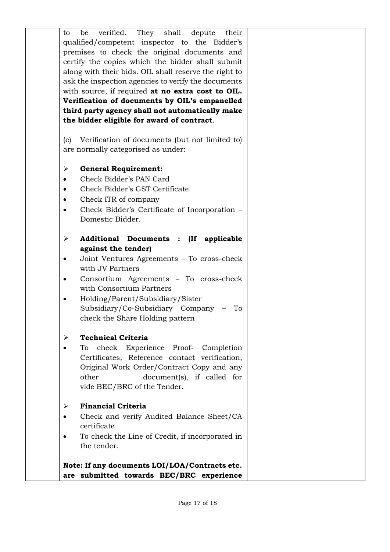| They shall<br>verified.<br>depute<br>their<br>be<br>to   |  |  |
|----------------------------------------------------------|--|--|
| qualified/competent inspector to the Bidder's            |  |  |
| premises to check the original documents and             |  |  |
| certify the copies which the bidder shall submit         |  |  |
| along with their bids. OIL shall reserve the right to    |  |  |
| ask the inspection agencies to verify the documents      |  |  |
| with source, if required at no extra cost to OIL.        |  |  |
| Verification of documents by OIL's empanelled            |  |  |
| third party agency shall not automatically make          |  |  |
| the bidder eligible for award of contract.               |  |  |
|                                                          |  |  |
| Verification of documents (but not limited to)<br>(c)    |  |  |
| are normally categorised as under:                       |  |  |
| <b>General Requirement:</b><br>≻                         |  |  |
| Check Bidder's PAN Card                                  |  |  |
| Check Bidder's GST Certificate<br>$\bullet$              |  |  |
| Check ITR of company                                     |  |  |
| Check Bidder's Certificate of Incorporation -            |  |  |
| Domestic Bidder.                                         |  |  |
|                                                          |  |  |
| Additional Documents : (If applicable<br>➤               |  |  |
| against the tender)                                      |  |  |
| Joint Ventures Agreements – To cross-check               |  |  |
| with JV Partners                                         |  |  |
| Consortium Agreements - To cross-check<br>$\bullet$      |  |  |
| with Consortium Partners                                 |  |  |
| Holding/Parent/Subsidiary/Sister                         |  |  |
| Subsidiary/Co-Subsidiary Company<br>To                   |  |  |
| check the Share Holding pattern                          |  |  |
| <b>Technical Criteria</b>                                |  |  |
| ➤<br>check Experience Proof- Completion<br>To            |  |  |
| Certificates, Reference contact verification,            |  |  |
| Original Work Order/Contract Copy and any                |  |  |
| other<br>document(s), if called for                      |  |  |
| vide BEC/BRC of the Tender.                              |  |  |
|                                                          |  |  |
| <b>Financial Criteria</b><br>≻                           |  |  |
| Check and verify Audited Balance Sheet/CA<br>certificate |  |  |
| To check the Line of Credit, if incorporated in          |  |  |
| the tender.                                              |  |  |
|                                                          |  |  |
| Note: If any documents LOI/LOA/Contracts etc.            |  |  |
| are submitted towards BEC/BRC experience                 |  |  |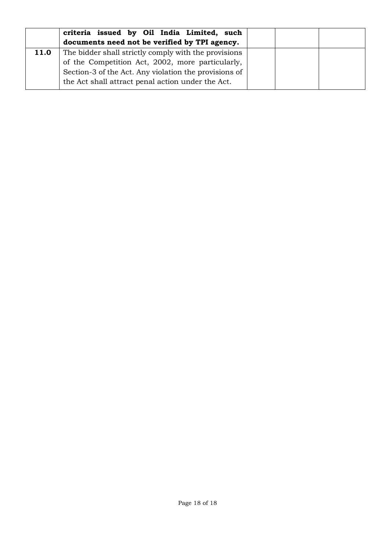|      | criteria issued by Oil India Limited, such<br>documents need not be verified by TPI agency. |  |  |
|------|---------------------------------------------------------------------------------------------|--|--|
| 11.0 | The bidder shall strictly comply with the provisions                                        |  |  |
|      | of the Competition Act, 2002, more particularly,                                            |  |  |
|      | Section-3 of the Act. Any violation the provisions of                                       |  |  |
|      | the Act shall attract penal action under the Act.                                           |  |  |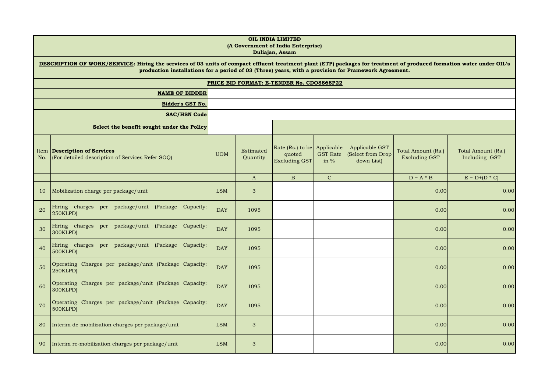|             | OIL INDIA LIMITED<br>(A Government of India Enterprise)<br>Duliajan, Assam                                                                                                                                                                                                    |            |                       |                                                        |                           |                                                   |                                            |                                     |
|-------------|-------------------------------------------------------------------------------------------------------------------------------------------------------------------------------------------------------------------------------------------------------------------------------|------------|-----------------------|--------------------------------------------------------|---------------------------|---------------------------------------------------|--------------------------------------------|-------------------------------------|
|             | DESCRIPTION OF WORK/SERVICE: Hiring the services of 03 units of compact effluent treatment plant (ETP) packages for treatment of produced formation water under OIL's<br>production installations for a period of 03 (Three) years, with a provision for Framework Agreement. |            |                       |                                                        |                           |                                                   |                                            |                                     |
|             | PRICE BID FORMAT: E-TENDER No. CDO8868P22                                                                                                                                                                                                                                     |            |                       |                                                        |                           |                                                   |                                            |                                     |
|             | <b>NAME OF BIDDER</b>                                                                                                                                                                                                                                                         |            |                       |                                                        |                           |                                                   |                                            |                                     |
|             | <b>Bidder's GST No.</b><br><b>SAC/HSN Code</b>                                                                                                                                                                                                                                |            |                       |                                                        |                           |                                                   |                                            |                                     |
|             |                                                                                                                                                                                                                                                                               |            |                       |                                                        |                           |                                                   |                                            |                                     |
|             | Select the benefit sought under the Policy                                                                                                                                                                                                                                    |            |                       |                                                        |                           |                                                   |                                            |                                     |
| Item<br>No. | <b>Description of Services</b><br>(For detailed description of Services Refer SOQ)                                                                                                                                                                                            | <b>UOM</b> | Estimated<br>Quantity | Rate (Rs.) to be Applicable<br>quoted<br>Excluding GST | <b>GST Rate</b><br>in $%$ | Applicable GST<br>(Select from Drop<br>down List) | Total Amount (Rs.)<br><b>Excluding GST</b> | Total Amount (Rs.)<br>Including GST |
|             |                                                                                                                                                                                                                                                                               |            | $\mathbf{A}$          | $\mathbf{B}$                                           | $\mathbf{C}$              |                                                   | $D = A * B$                                | $E = D + (D * C)$                   |
| 10          | Mobilization charge per package/unit                                                                                                                                                                                                                                          | <b>LSM</b> | 3                     |                                                        |                           |                                                   | 0.00                                       | 0.00                                |
| 20          | Hiring charges per package/unit (Package Capacity:<br>250KLPD)                                                                                                                                                                                                                | <b>DAY</b> | 1095                  |                                                        |                           |                                                   | 0.00                                       | 0.00                                |
| 30          | Hiring charges per package/unit (Package<br>Capacity:<br>300KLPD)                                                                                                                                                                                                             | <b>DAY</b> | 1095                  |                                                        |                           |                                                   | 0.00                                       | 0.00                                |
| 40          | Hiring charges per package/unit (Package Capacity:<br>500KLPD)                                                                                                                                                                                                                | <b>DAY</b> | 1095                  |                                                        |                           |                                                   | 0.00                                       | 0.00                                |
| 50          | Operating Charges per package/unit (Package Capacity:<br>250KLPD)                                                                                                                                                                                                             | <b>DAY</b> | 1095                  |                                                        |                           |                                                   | 0.00                                       | 0.00                                |
| 60          | Operating Charges per package/unit (Package Capacity:<br>300KLPD)                                                                                                                                                                                                             | <b>DAY</b> | 1095                  |                                                        |                           |                                                   | 0.00                                       | 0.00                                |
| 70          | Operating Charges per package/unit (Package Capacity:<br>500KLPD)                                                                                                                                                                                                             | <b>DAY</b> | 1095                  |                                                        |                           |                                                   | 0.00                                       | 0.00                                |
| 80          | Interim de-mobilization charges per package/unit                                                                                                                                                                                                                              | <b>LSM</b> | 3                     |                                                        |                           |                                                   | 0.00                                       | 0.00                                |
| 90          | Interim re-mobilization charges per package/unit                                                                                                                                                                                                                              | <b>LSM</b> | 3                     |                                                        |                           |                                                   | 0.00                                       | 0.00                                |